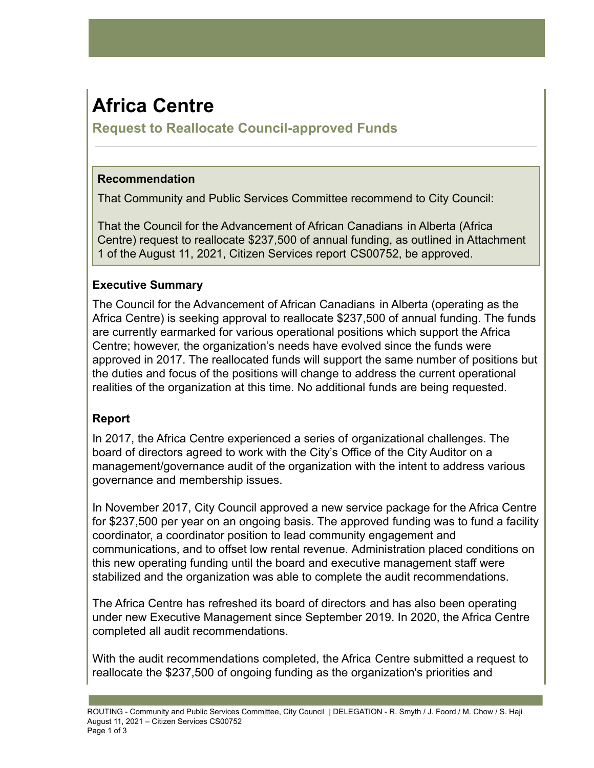# **Africa Centre**

**Request to Reallocate Council-approved Funds**

## **Recommendation**

That Community and Public Services Committee recommend to City Council:

That the Council for the Advancement of African Canadians in Alberta (Africa Centre) request to reallocate \$237,500 of annual funding, as outlined in Attachment 1 of the August 11, 2021, Citizen Services report CS00752, be approved.

## **Executive Summary**

The Council for the Advancement of African Canadians in Alberta (operating as the Africa Centre) is seeking approval to reallocate \$237,500 of annual funding. The funds are currently earmarked for various operational positions which support the Africa Centre; however, the organization's needs have evolved since the funds were approved in 2017. The reallocated funds will support the same number of positions but the duties and focus of the positions will change to address the current operational realities of the organization at this time. No additional funds are being requested.

## **Report**

In 2017, the Africa Centre experienced a series of organizational challenges. The board of directors agreed to work with the City's Office of the City Auditor on a management/governance audit of the organization with the intent to address various governance and membership issues.

In November 2017, City Council approved a new service package for the Africa Centre for \$237,500 per year on an ongoing basis. The approved funding was to fund a facility coordinator, a coordinator position to lead community engagement and communications, and to offset low rental revenue. Administration placed conditions on this new operating funding until the board and executive management staff were stabilized and the organization was able to complete the audit recommendations.

The Africa Centre has refreshed its board of directors and has also been operating under new Executive Management since September 2019. In 2020, the Africa Centre completed all audit recommendations.

With the audit recommendations completed, the Africa Centre submitted a request to reallocate the \$237,500 of ongoing funding as the organization's priorities and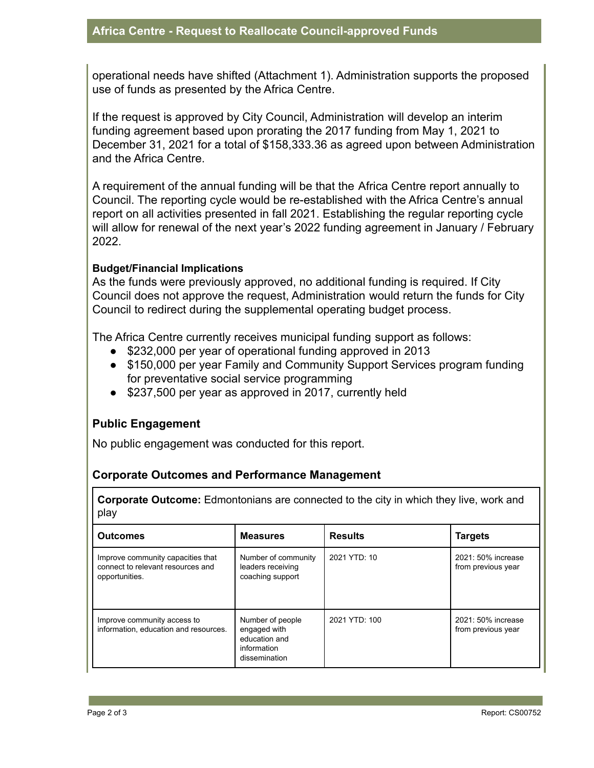operational needs have shifted (Attachment 1). Administration supports the proposed use of funds as presented by the Africa Centre.

If the request is approved by City Council, Administration will develop an interim funding agreement based upon prorating the 2017 funding from May 1, 2021 to December 31, 2021 for a total of \$158,333.36 as agreed upon between Administration and the Africa Centre.

A requirement of the annual funding will be that the Africa Centre report annually to Council. The reporting cycle would be re-established with the Africa Centre's annual report on all activities presented in fall 2021. Establishing the regular reporting cycle will allow for renewal of the next year's 2022 funding agreement in January / February 2022.

#### **Budget/Financial Implications**

As the funds were previously approved, no additional funding is required. If City Council does not approve the request, Administration would return the funds for City Council to redirect during the supplemental operating budget process.

The Africa Centre currently receives municipal funding support as follows:

- \$232,000 per year of operational funding approved in 2013
- \$150,000 per year Family and Community Support Services program funding for preventative social service programming
- \$237,500 per year as approved in 2017, currently held

### **Public Engagement**

No public engagement was conducted for this report.

### **Corporate Outcomes and Performance Management**

**Corporate Outcome:** Edmontonians are connected to the city in which they live, work and play

| <b>Outcomes</b>                                                                                                                                           | <b>Measures</b>                                              | <b>Results</b> | <b>Targets</b>                           |
|-----------------------------------------------------------------------------------------------------------------------------------------------------------|--------------------------------------------------------------|----------------|------------------------------------------|
| Improve community capacities that<br>connect to relevant resources and<br>opportunities.                                                                  | Number of community<br>leaders receiving<br>coaching support | 2021 YTD: 10   | 2021: 50% increase<br>from previous year |
| Improve community access to<br>Number of people<br>information, education and resources.<br>engaged with<br>education and<br>information<br>dissemination |                                                              | 2021 YTD: 100  | 2021: 50% increase<br>from previous year |